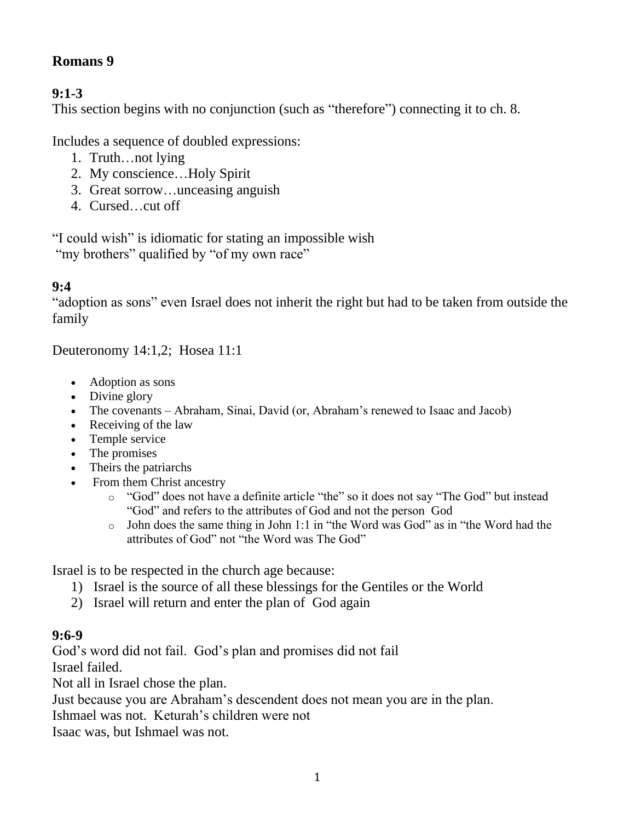#### **Romans 9**

### **9:1-3**

This section begins with no conjunction (such as "therefore") connecting it to ch. 8.

Includes a sequence of doubled expressions:

- 1. Truth…not lying
- 2. My conscience…Holy Spirit
- 3. Great sorrow…unceasing anguish
- 4. Cursed…cut off

"I could wish" is idiomatic for stating an impossible wish "my brothers" qualified by "of my own race"

#### **9:4**

"adoption as sons" even Israel does not inherit the right but had to be taken from outside the family

Deuteronomy 14:1,2; Hosea 11:1

- Adoption as sons
- Divine glory
- The covenants Abraham, Sinai, David (or, Abraham's renewed to Isaac and Jacob)
- Receiving of the law
- Temple service
- The promises
- Theirs the patriarchs
- From them Christ ancestry
	- o "God" does not have a definite article "the" so it does not say "The God" but instead "God" and refers to the attributes of God and not the person God
	- o John does the same thing in John 1:1 in "the Word was God" as in "the Word had the attributes of God" not "the Word was The God"

Israel is to be respected in the church age because:

- 1) Israel is the source of all these blessings for the Gentiles or the World
- 2) Israel will return and enter the plan of God again

#### **9:6-9**

God's word did not fail. God's plan and promises did not fail Israel failed.

Not all in Israel chose the plan.

Just because you are Abraham's descendent does not mean you are in the plan.

Ishmael was not. Keturah's children were not

Isaac was, but Ishmael was not.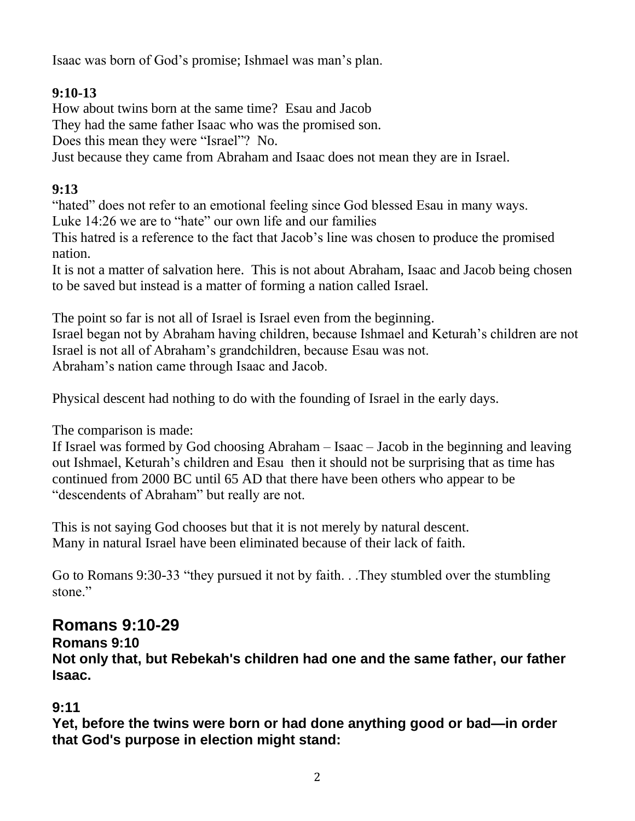Isaac was born of God's promise; Ishmael was man's plan.

### **9:10-13**

How about twins born at the same time? Esau and Jacob

They had the same father Isaac who was the promised son.

Does this mean they were "Israel"? No.

Just because they came from Abraham and Isaac does not mean they are in Israel.

### **9:13**

"hated" does not refer to an emotional feeling since God blessed Esau in many ways.

Luke 14:26 we are to "hate" our own life and our families

This hatred is a reference to the fact that Jacob's line was chosen to produce the promised nation.

It is not a matter of salvation here. This is not about Abraham, Isaac and Jacob being chosen to be saved but instead is a matter of forming a nation called Israel.

The point so far is not all of Israel is Israel even from the beginning. Israel began not by Abraham having children, because Ishmael and Keturah's children are not Israel is not all of Abraham's grandchildren, because Esau was not. Abraham's nation came through Isaac and Jacob.

Physical descent had nothing to do with the founding of Israel in the early days.

The comparison is made:

If Israel was formed by God choosing Abraham – Isaac – Jacob in the beginning and leaving out Ishmael, Keturah's children and Esau then it should not be surprising that as time has continued from 2000 BC until 65 AD that there have been others who appear to be "descendents of Abraham" but really are not.

This is not saying God chooses but that it is not merely by natural descent. Many in natural Israel have been eliminated because of their lack of faith.

Go to Romans 9:30-33 "they pursued it not by faith. . .They stumbled over the stumbling stone."

# **Romans 9:10-29**

#### **Romans 9:10**

**Not only that, but Rebekah's children had one and the same father, our father Isaac.**

### **9:11**

**Yet, before the twins were born or had done anything good or bad—in order that God's purpose in election might stand:**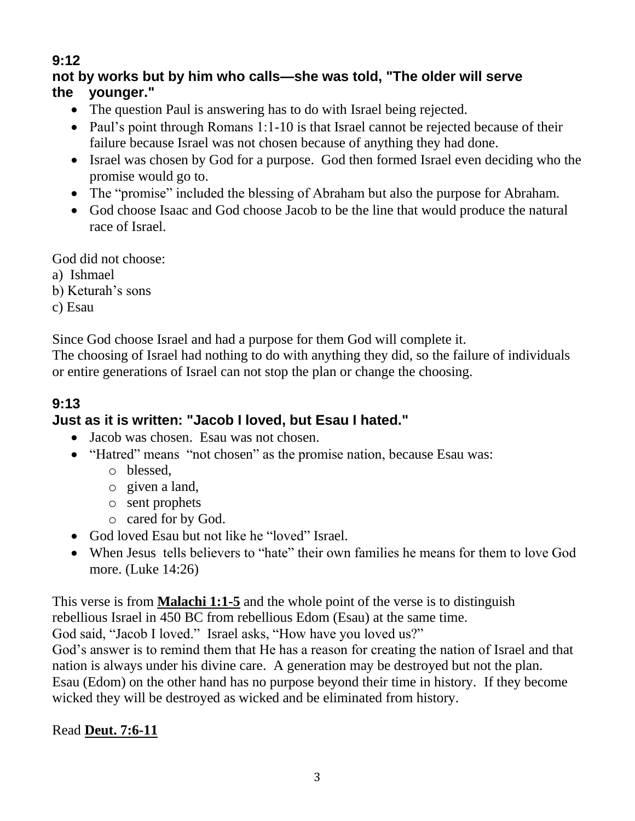## **9:12**

#### **not by works but by him who calls—she was told, "The older will serve the younger."**

- The question Paul is answering has to do with Israel being rejected.
- Paul's point through Romans 1:1-10 is that Israel cannot be rejected because of their failure because Israel was not chosen because of anything they had done.
- Israel was chosen by God for a purpose. God then formed Israel even deciding who the promise would go to.
- The "promise" included the blessing of Abraham but also the purpose for Abraham.
- God choose Isaac and God choose Jacob to be the line that would produce the natural race of Israel.

God did not choose:

- a) Ishmael
- b) Keturah's sons
- c) Esau

Since God choose Israel and had a purpose for them God will complete it.

The choosing of Israel had nothing to do with anything they did, so the failure of individuals or entire generations of Israel can not stop the plan or change the choosing.

#### **9:13 Just as it is written: "Jacob I loved, but Esau I hated."**

- Jacob was chosen. Esau was not chosen.
- "Hatred" means "not chosen" as the promise nation, because Esau was:
	- o blessed,
	- o given a land,
	- o sent prophets
	- o cared for by God.
- God loved Esau but not like he "loved" Israel.
- When Jesus tells believers to "hate" their own families he means for them to love God more. (Luke 14:26)

This verse is from **Malachi 1:1-5** and the whole point of the verse is to distinguish

rebellious Israel in 450 BC from rebellious Edom (Esau) at the same time.

God said, "Jacob I loved." Israel asks, "How have you loved us?"

God's answer is to remind them that He has a reason for creating the nation of Israel and that nation is always under his divine care. A generation may be destroyed but not the plan.

Esau (Edom) on the other hand has no purpose beyond their time in history. If they become wicked they will be destroyed as wicked and be eliminated from history.

Read **Deut. 7:6-11**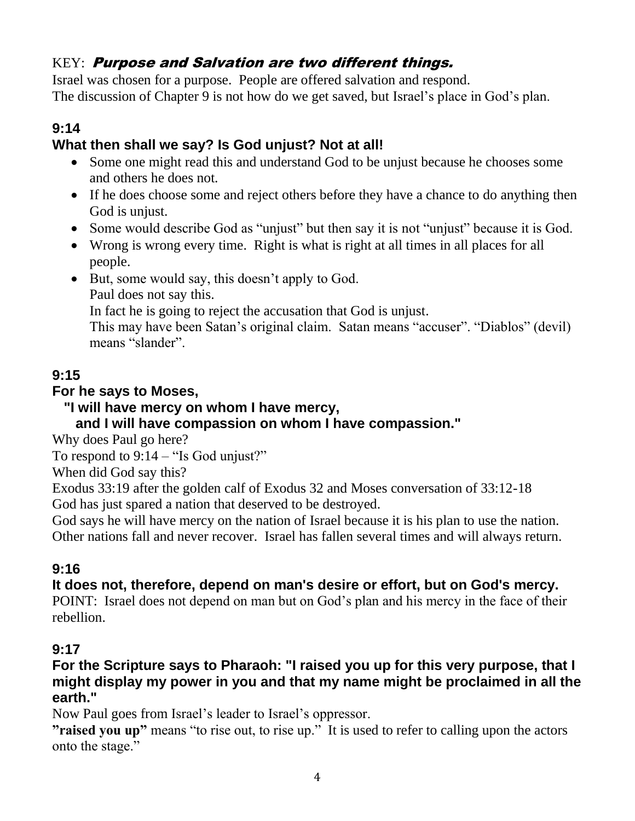## KEY: Purpose and Salvation are two different things.

Israel was chosen for a purpose. People are offered salvation and respond. The discussion of Chapter 9 is not how do we get saved, but Israel's place in God's plan.

## **9:14**

## **What then shall we say? Is God unjust? Not at all!**

- Some one might read this and understand God to be unjust because he chooses some and others he does not.
- If he does choose some and reject others before they have a chance to do anything then God is unjust.
- Some would describe God as "unjust" but then say it is not "unjust" because it is God.
- Wrong is wrong every time. Right is what is right at all times in all places for all people.
- But, some would say, this doesn't apply to God.
	- Paul does not say this.

In fact he is going to reject the accusation that God is unjust.

This may have been Satan's original claim. Satan means "accuser". "Diablos" (devil) means "slander".

## **9:15**

## **For he says to Moses,**

 **"I will have mercy on whom I have mercy,**

## **and I will have compassion on whom I have compassion."**

Why does Paul go here?

To respond to  $9:14 - "Is God unity."$ 

When did God say this?

Exodus 33:19 after the golden calf of Exodus 32 and Moses conversation of 33:12-18 God has just spared a nation that deserved to be destroyed.

God says he will have mercy on the nation of Israel because it is his plan to use the nation. Other nations fall and never recover. Israel has fallen several times and will always return.

### **9:16**

## **It does not, therefore, depend on man's desire or effort, but on God's mercy.**

POINT: Israel does not depend on man but on God's plan and his mercy in the face of their rebellion.

### **9:17**

#### **For the Scripture says to Pharaoh: "I raised you up for this very purpose, that I might display my power in you and that my name might be proclaimed in all the earth."**

Now Paul goes from Israel's leader to Israel's oppressor.

**"raised you up"** means "to rise out, to rise up." It is used to refer to calling upon the actors onto the stage."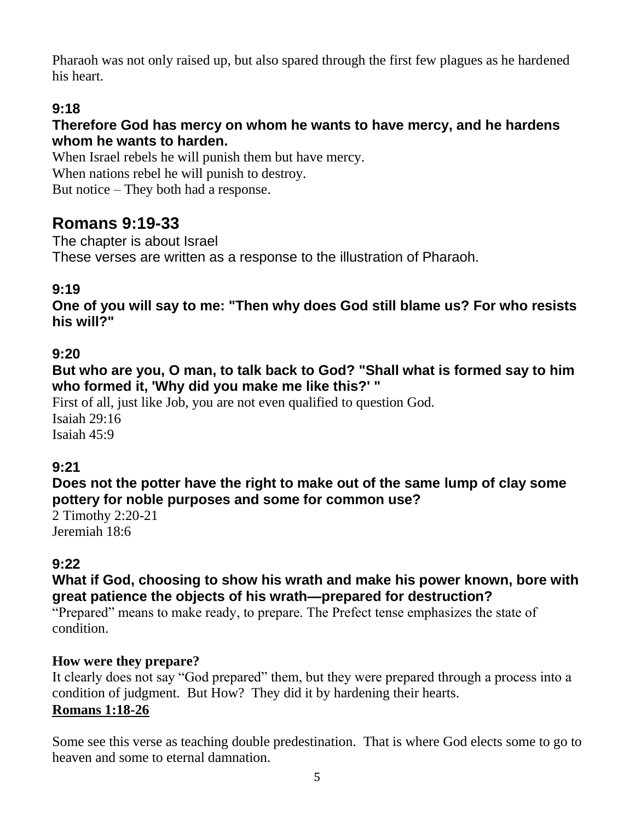Pharaoh was not only raised up, but also spared through the first few plagues as he hardened his heart.

## **9:18**

#### **Therefore God has mercy on whom he wants to have mercy, and he hardens whom he wants to harden.**

When Israel rebels he will punish them but have mercy. When nations rebel he will punish to destroy. But notice – They both had a response.

## **Romans 9:19-33**

The chapter is about Israel These verses are written as a response to the illustration of Pharaoh.

## **9:19**

**One of you will say to me: "Then why does God still blame us? For who resists his will?"**

#### **9:20**

**But who are you, O man, to talk back to God? "Shall what is formed say to him who formed it, 'Why did you make me like this?' "**

First of all, just like Job, you are not even qualified to question God. Isaiah 29:16 Isaiah 45:9

#### **9:21**

**Does not the potter have the right to make out of the same lump of clay some pottery for noble purposes and some for common use?**

2 Timothy 2:20-21 Jeremiah 18:6

### **9:22**

#### **What if God, choosing to show his wrath and make his power known, bore with great patience the objects of his wrath—prepared for destruction?**

"Prepared" means to make ready, to prepare. The Prefect tense emphasizes the state of condition.

#### **How were they prepare?**

It clearly does not say "God prepared" them, but they were prepared through a process into a condition of judgment. But How? They did it by hardening their hearts. **Romans 1:18-26**

Some see this verse as teaching double predestination. That is where God elects some to go to heaven and some to eternal damnation.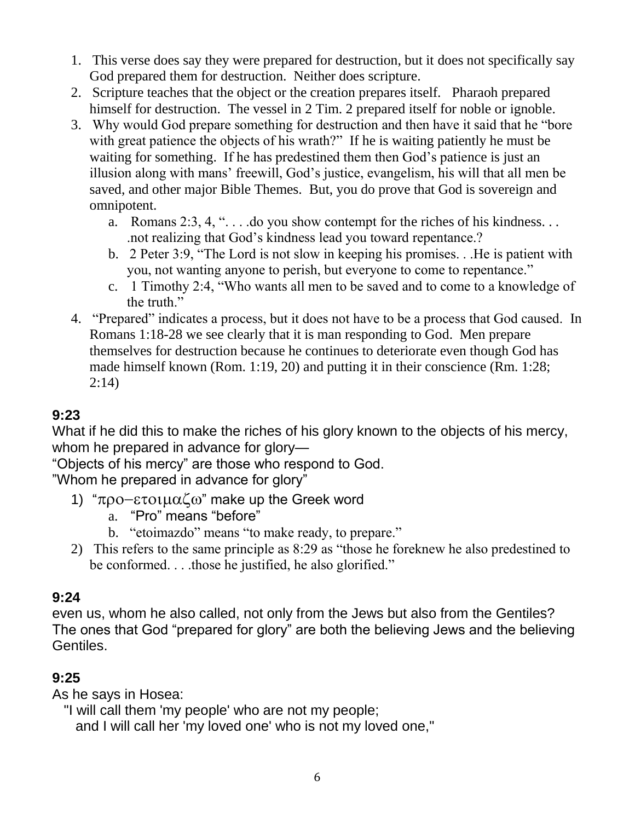- 1. This verse does say they were prepared for destruction, but it does not specifically say God prepared them for destruction. Neither does scripture.
- 2. Scripture teaches that the object or the creation prepares itself. Pharaoh prepared himself for destruction. The vessel in 2 Tim. 2 prepared itself for noble or ignoble.
- 3. Why would God prepare something for destruction and then have it said that he "bore with great patience the objects of his wrath?" If he is waiting patiently he must be waiting for something. If he has predestined them then God's patience is just an illusion along with mans' freewill, God's justice, evangelism, his will that all men be saved, and other major Bible Themes. But, you do prove that God is sovereign and omnipotent.
	- a. Romans 2:3, 4, ". . . .do you show contempt for the riches of his kindness. . . .not realizing that God's kindness lead you toward repentance.?
	- b. 2 Peter 3:9, "The Lord is not slow in keeping his promises. . .He is patient with you, not wanting anyone to perish, but everyone to come to repentance."
	- c. 1 Timothy 2:4, "Who wants all men to be saved and to come to a knowledge of the truth."
- 4. "Prepared" indicates a process, but it does not have to be a process that God caused. In Romans 1:18-28 we see clearly that it is man responding to God. Men prepare themselves for destruction because he continues to deteriorate even though God has made himself known (Rom. 1:19, 20) and putting it in their conscience (Rm. 1:28; 2:14)

## **9:23**

What if he did this to make the riches of his glory known to the objects of his mercy, whom he prepared in advance for glory—

"Objects of his mercy" are those who respond to God.

"Whom he prepared in advance for glory"

- 1) " $\pi$ po- $\epsilon$ τοιμαζω" make up the Greek word
	- a. "Pro" means "before"
	- b. "etoimazdo" means "to make ready, to prepare."
- 2) This refers to the same principle as 8:29 as "those he foreknew he also predestined to be conformed. . . .those he justified, he also glorified."

#### **9:24**

even us, whom he also called, not only from the Jews but also from the Gentiles? The ones that God "prepared for glory" are both the believing Jews and the believing Gentiles.

#### **9:25**

As he says in Hosea:

"I will call them 'my people' who are not my people;

and I will call her 'my loved one' who is not my loved one,"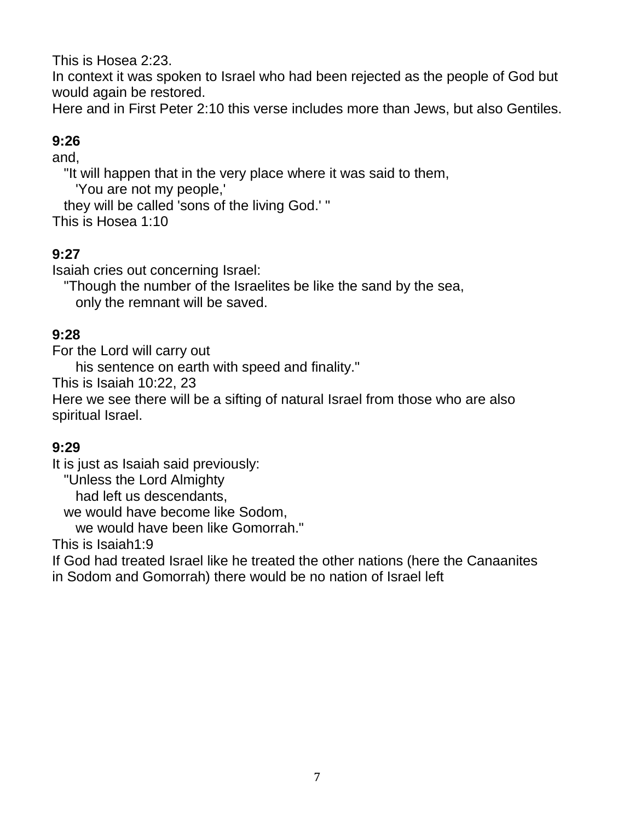This is Hosea 2:23.

In context it was spoken to Israel who had been rejected as the people of God but would again be restored.

Here and in First Peter 2:10 this verse includes more than Jews, but also Gentiles.

## **9:26**

and,

"It will happen that in the very place where it was said to them,

'You are not my people,'

they will be called 'sons of the living God.' "

This is Hosea 1:10

### **9:27**

Isaiah cries out concerning Israel:

"Though the number of the Israelites be like the sand by the sea,

only the remnant will be saved.

### **9:28**

For the Lord will carry out

his sentence on earth with speed and finality."

This is Isaiah 10:22, 23

Here we see there will be a sifting of natural Israel from those who are also spiritual Israel.

#### **9:29**

It is just as Isaiah said previously:

"Unless the Lord Almighty

had left us descendants,

we would have become like Sodom,

we would have been like Gomorrah."

This is Isaiah1:9

If God had treated Israel like he treated the other nations (here the Canaanites in Sodom and Gomorrah) there would be no nation of Israel left